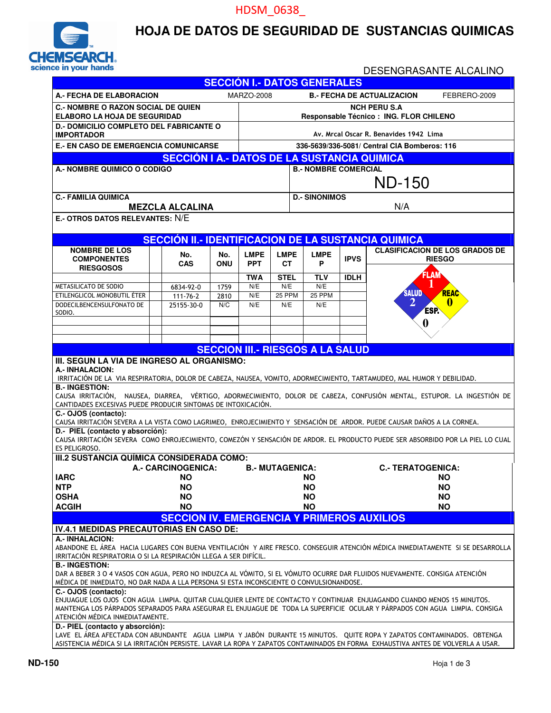#### HDSM\_0638\_



#### **HOJA DE DATOS DE SEGURIDAD DE SUSTANCIAS QUIMICAS**

#### DESENGRASANTE ALCALINO **SECCIÓN I.- DATOS GENERALES A.- FECHA DE ELABORACION** MARZO-2008 **B.- FECHA DE ACTUALIZACION** FEBRERO-2009 **C.- NOMBRE O RAZON SOCIAL DE QUIEN ELABORO LA HOJA DE SEGURIDAD NCH PERU S.A Responsable Técnico : ING. FLOR CHILENO D.- DOMICILIO COMPLETO DEL FABRICANTE O IMPORTADOR Av. Mrcal Oscar R. Benavides 1942 Lima E.- EN CASO DE EMERGENCIA COMUNICARSE 336-5639/336-5081/ Central CIA Bomberos: 116 SECCIÓN I A.- DATOS DE LA SUSTANCIA QUIMICA A.- NOMBRE QUIMICO O CODIGO B.- NOMBRE COMERCIAL**  ND-150 **C.- FAMILIA QUIMICA** D.- SINONIMOS **MEZCLA ALCALINA N/A E.- OTROS DATOS RELEVANTES:** N/E **SECCIÓN II.- IDENTIFICACION DE LA SUSTANCIA QUIMICA CLASIFICACION DE LOS GRADOS DE RIESGO NOMBRE DE LOS COMPONENTES RIESGOSOS No. CAS No. ONU LMPE PPT LMPE CT LMPE**   $\frac{P}{P}$  | IPVS **TWA STEL TLV IDLH**  METASILICATO DE SODIO **6834-92-0** 1759 N/E N/E N/E N/E<br>ETILENGLICOL MONOBUTIL ÉTER 111-76-2 2810 N/E 25 PPM 25 PPM ETILENGLICOL MONOBUTIL ÉTER 111-76-2 DODECILBENCENSULFONATO DE SODIO. 25155-30-0 N/C N/E N/E N/E **SECCION III.- RIESGOS A LA SALUD III. SEGUN LA VIA DE INGRESO AL ORGANISMO: A.- INHALACION:** IRRITACIÓN DE LA VIA RESPIRATORIA, DOLOR DE CABEZA, NAUSEA, VOMITO, ADORMECIMIENTO, TARTAMUDEO, MAL HUMOR Y DEBILIDAD. **B.- INGESTION:**  CAUSA IRRITACIÓN, NAUSEA, DIARREA, VÉRTIGO, ADORMECIMIENTO, DOLOR DE CABEZA, CONFUSIÓN MENTAL, ESTUPOR. LA INGESTIÓN DE CANTIDADES EXCESIVAS PUEDE PRODUCIR SINTOMAS DE INTOXICACIÓN. **C.- OJOS (contacto):**  CAUSA IRRITACIÓN SEVERA A LA VISTA COMO LAGRIMEO, ENROJECIMIENTO Y SENSACIÓN DE ARDOR. PUEDE CAUSAR DAÑOS A LA CORNEA. **D.- PIEL (contacto y absorción):**  CAUSA IRRITACIÓN SEVERA COMO ENROJECIMIENTO, COMEZÓN Y SENSACIÓN DE ARDOR. EL PRODUCTO PUEDE SER ABSORBIDO POR LA PIEL LO CUAL ES PELIGROSO. **III.2 SUSTANCIA QUÍMICA CONSIDERADA COMO: A.- CARCINOGENICA: B.- MUTAGENICA: C.- TERATOGENICA: IARC NO NO NO NTP NO NO NO OSHA NO NO NO ACGIH NO NO NO SECCION IV. EMERGENCIA Y PRIMEROS AUXILIOS IV.4.1 MEDIDAS PRECAUTORIAS EN CASO DE: A.- INHALACION:**  ABANDONE EL ÁREA HACIA LUGARES CON BUENA VENTILACIÓN Y AIRE FRESCO. CONSEGUIR ATENCIÓN MÉDICA INMEDIATAMENTE SI SE DESARROLLA IRRITACIÓN RESPIRATORIA O SI LA RESPIRACIÓN LLEGA A SER DIFÍCIL. **B.- INGESTION:**  DAR A BEBER 3 O 4 VASOS CON AGUA, PERO NO INDUZCA AL VÓMITO, SI EL VÓMUTO OCURRE DAR FLUIDOS NUEVAMENTE. CONSIGA ATENCIÓN MÉDICA DE INMEDIATO, NO DAR NADA A LLA PERSONA SI ESTA INCONSCIENTE O CONVULSIONANDOSE. **C.- OJOS (contacto):**  ENJUAGUE LOS OJOS CON AGUA LIMPIA. QUITAR CUALQUIER LENTE DE CONTACTO Y CONTINUAR ENJUAGANDO CUANDO MENOS 15 MINUTOS. MANTENGA LOS PÁRPADOS SEPARADOS PARA ASEGURAR EL ENJUAGUE DE TODA LA SUPERFICIE OCULAR Y PÁRPADOS CON AGUA LIMPIA. CONSIGA ATENCIÓN MÉDICA INMEDIATAMENTE. **D.- PIEL (contacto y absorción):**  LAVE EL ÁREA AFECTADA CON ABUNDANTE AGUA LIMPIA Y JABÓN DURANTE 15 MINUTOS. QUITE ROPA Y ZAPATOS CONTAMINADOS. OBTENGA ASISTENCIA MÉDICA SI LA IRRITACIÓN PERSISTE. LAVAR LA ROPA Y ZAPATOS CONTAMINADOS EN FORMA EXHAUSTIVA ANTES DE VOLVERLA A USAR. **1 2 2 0**<br>**2 0**<br>**2 0**<br>**2 0 0**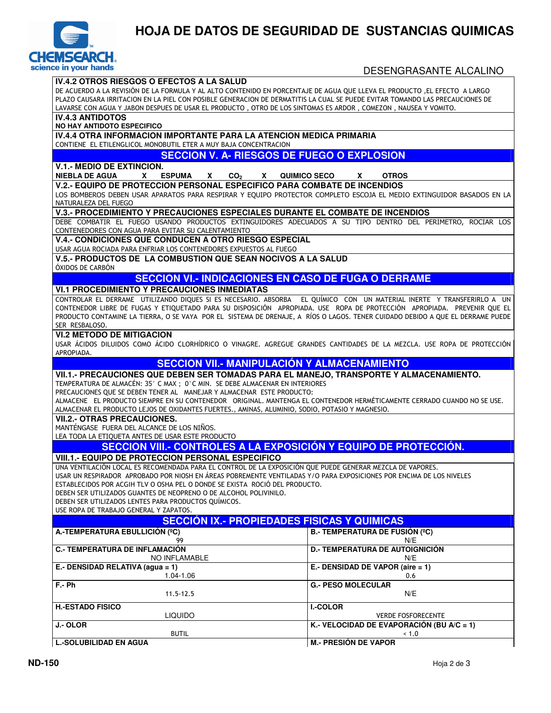

# **HOJA DE DATOS DE SEGURIDAD DE SUSTANCIAS QUIMICAS**

| <b>ice in your hands</b>                                                                                                                                                                                                                                                                                                                                                                                                                                                                 | DESENGRASANTE ALCALINO                        |  |  |  |
|------------------------------------------------------------------------------------------------------------------------------------------------------------------------------------------------------------------------------------------------------------------------------------------------------------------------------------------------------------------------------------------------------------------------------------------------------------------------------------------|-----------------------------------------------|--|--|--|
| <b>IV.4.2 OTROS RIESGOS O EFECTOS A LA SALUD</b><br>DE ACUERDO A LA REVISIÓN DE LA FORMULA Y AL ALTO CONTENIDO EN PORCENTAJE DE AGUA OUE LLEVA EL PRODUCTO .EL EFECTO A LARGO<br>PLAZO CAUSARA IRRITACION EN LA PIEL CON POSIBLE GENERACION DE DERMATITIS LA CUAL SE PUEDE EVITAR TOMANDO LAS PRECAUCIONES DE<br>LAVARSE CON AGUA Y JABON DESPUES DE USAR EL PRODUCTO, OTRO DE LOS SINTOMAS ES ARDOR, COMEZON, NAUSEA Y VOMITO.                                                          |                                               |  |  |  |
| <b>IV.4.3 ANTIDOTOS</b><br><b>NO HAY ANTIDOTO ESPECIFICO</b>                                                                                                                                                                                                                                                                                                                                                                                                                             |                                               |  |  |  |
| IV.4.4 OTRA INFORMACION IMPORTANTE PARA LA ATENCION MEDICA PRIMARIA                                                                                                                                                                                                                                                                                                                                                                                                                      |                                               |  |  |  |
| CONTIENE EL ETILENGLICOL MONOBUTIL ETER A MUY BAJA CONCENTRACION                                                                                                                                                                                                                                                                                                                                                                                                                         |                                               |  |  |  |
| <b>SECCION V. A- RIESGOS DE FUEGO O EXPLOSION</b>                                                                                                                                                                                                                                                                                                                                                                                                                                        |                                               |  |  |  |
| <b>V.1.- MEDIO DE EXTINCION.</b><br><b>NIEBLA DE AGUA</b><br><b>ESPUMA</b><br>CO <sub>2</sub><br>$\mathsf{X}$<br>X<br><b>X</b>                                                                                                                                                                                                                                                                                                                                                           | <b>OTROS</b><br><b>QUIMICO SECO</b><br>X.     |  |  |  |
| <b>V.2.- EQUIPO DE PROTECCION PERSONAL ESPECIFICO PARA COMBATE DE INCENDIOS</b>                                                                                                                                                                                                                                                                                                                                                                                                          |                                               |  |  |  |
| LOS BOMBEROS DEBEN USAR APARATOS PARA RESPIRAR Y EQUIPO PROTECTOR COMPLETO ESCOJA EL MEDIO EXTINGUIDOR BASADOS EN LA<br>NATURALEZA DEL FUEGO                                                                                                                                                                                                                                                                                                                                             |                                               |  |  |  |
| V.3.- PROCEDIMIENTO Y PRECAUCIONES ESPECIALES DURANTE EL COMBATE DE INCENDIOS                                                                                                                                                                                                                                                                                                                                                                                                            |                                               |  |  |  |
| DEBE COMBATIR EL FUEGO USANDO PRODUCTOS EXTINGUIDORES ADECUADOS A SU TIPO DENTRO DEL PERIMETRO, ROCIAR LOS<br>CONTENEDORES CON AGUA PARA EVITAR SU CALENTAMIENTO                                                                                                                                                                                                                                                                                                                         |                                               |  |  |  |
| V.4.- CONDICIONES QUE CONDUCEN A OTRO RIESGO ESPECIAL<br>USAR AGUA ROCIADA PARA ENFRIAR LOS CONTENEDORES EXPUESTOS AL FUEGO                                                                                                                                                                                                                                                                                                                                                              |                                               |  |  |  |
| <b>V.5.- PRODUCTOS DE LA COMBUSTION QUE SEAN NOCIVOS A LA SALUD</b><br>ÓXIDOS DE CARBÓN                                                                                                                                                                                                                                                                                                                                                                                                  |                                               |  |  |  |
| <b>SECCION VI.- INDICACIONES EN CASO DE FUGA O DERRAME</b>                                                                                                                                                                                                                                                                                                                                                                                                                               |                                               |  |  |  |
| <b>VI.1 PROCEDIMIENTO Y PRECAUCIONES INMEDIATAS</b>                                                                                                                                                                                                                                                                                                                                                                                                                                      |                                               |  |  |  |
| CONTROLAR EL DERRAME UTILIZANDO DIQUES SI ES NECESARIO. ABSORBA EL QUÍMICO CON UN MATERIAL INERTE Y TRANSFERIRLO A UN<br>CONTENEDOR LIBRE DE FUGAS Y ETIQUETADO PARA SU DISPOSICIÓN APROPIADA. USE ROPA DE PROTECCIÓN APROPIADA. PREVENIR QUE EL<br>PRODUCTO CONTAMINE LA TIERRA, O SE VAYA POR EL SISTEMA DE DRENAJE, A RÍOS O LAGOS. TENER CUIDADO DEBIDO A QUE EL DERRAME PUEDE<br>SER RESBALOSO.                                                                                     |                                               |  |  |  |
| <b>VI.2 METODO DE MITIGACION</b>                                                                                                                                                                                                                                                                                                                                                                                                                                                         |                                               |  |  |  |
| USAR ÁCIDOS DILUIDOS COMO ÁCIDO CLORHÍDRICO O VINAGRE. AGREGUE GRANDES CANTIDADES DE LA MEZCLA. USE ROPA DE PROTECCIÓN<br>APROPIADA.                                                                                                                                                                                                                                                                                                                                                     |                                               |  |  |  |
| <b>SECCION VII.- MANIPULACIÓN Y ALMACENAMIENTO</b>                                                                                                                                                                                                                                                                                                                                                                                                                                       |                                               |  |  |  |
| VII.1.- PRECAUCIONES QUE DEBEN SER TOMADAS PARA EL MANEJO, TRANSPORTE Y ALMACENAMIENTO.<br>TEMPERATURA DE ALMACÉN: 35° C MAX ; 0°C MIN. SE DEBE ALMACENAR EN INTERIORES<br>PRECAUCIONES QUE SE DEBEN TENER AL MANEJAR Y ALMACENAR ESTE PRODUCTO:<br>ALMACENE EL PRODUCTO SIEMPRE EN SU CONTENEDOR ORIGINAL, MANTENGA EL CONTENEDOR HERMÉTICAMENTE CERRADO CUANDO NO SE USE.                                                                                                              |                                               |  |  |  |
| ALMACENAR EL PRODUCTO LEJOS DE OXIDANTES FUERTES., AMINAS, ALUMINIO, SODIO, POTASIO Y MAGNESIO.<br><b>VII.2.- OTRAS PRECAUCIONES.</b>                                                                                                                                                                                                                                                                                                                                                    |                                               |  |  |  |
| MANTÉNGASE FUERA DEL ALCANCE DE LOS NIÑOS.<br>LEA TODA LA ETIQUETA ANTES DE USAR ESTE PRODUCTO                                                                                                                                                                                                                                                                                                                                                                                           |                                               |  |  |  |
| SECCION VIII.- CONTROLES A LA EXPOSICIÓN Y EQUIPO DE PROTECCIÓN.                                                                                                                                                                                                                                                                                                                                                                                                                         |                                               |  |  |  |
| <b>VIII.1.- EQUIPO DE PROTECCION PERSONAL ESPECIFICO</b>                                                                                                                                                                                                                                                                                                                                                                                                                                 |                                               |  |  |  |
| UNA VENTILACIÓN LOCAL ES RECOMENDADA PARA EL CONTROL DE LA EXPOSICIÓN QUE PUEDE GENERAR MEZCLA DE VAPORES.<br>USAR UN RESPIRADOR APROBADO POR NIOSH EN ÁREAS POBREMENTE VENTILADAS Y/O PARA EXPOSICIONES POR ENCIMA DE LOS NIVELES<br>ESTABLECIDOS POR ACGIH TLV O OSHA PEL O DONDE SE EXISTA ROCIÓ DEL PRODUCTO.<br>DEBEN SER UTILIZADOS GUANTES DE NEOPRENO O DE ALCOHOL POLIVINILO.<br>DEBEN SER UTILIZADOS LENTES PARA PRODUCTOS QUÍMICOS.<br>USE ROPA DE TRABAJO GENERAL Y ZAPATOS. |                                               |  |  |  |
| <b>SECCIÓN IX.- PROPIEDADES FISICAS Y QUIMICAS</b>                                                                                                                                                                                                                                                                                                                                                                                                                                       |                                               |  |  |  |
| A.-TEMPERATURA EBULLICIÓN (°C)<br>99                                                                                                                                                                                                                                                                                                                                                                                                                                                     | <b>B.- TEMPERATURA DE FUSIÓN (°C)</b><br>N/E  |  |  |  |
| <b>C.- TEMPERATURA DE INFLAMACIÓN</b><br>NO INFLAMABLE                                                                                                                                                                                                                                                                                                                                                                                                                                   | <b>D.- TEMPERATURA DE AUTOIGNICIÓN</b><br>N/E |  |  |  |
| E.- DENSIDAD RELATIVA (agua = 1)<br>1.04-1.06                                                                                                                                                                                                                                                                                                                                                                                                                                            | E.- DENSIDAD DE VAPOR (aire = 1)<br>0.6       |  |  |  |
| $F - Ph$<br>$11.5 - 12.5$                                                                                                                                                                                                                                                                                                                                                                                                                                                                | <b>G.- PESO MOLECULAR</b><br>N/E              |  |  |  |
| <b>H.-ESTADO FISICO</b><br><b>LIQUIDO</b>                                                                                                                                                                                                                                                                                                                                                                                                                                                | <b>I.-COLOR</b><br><b>VERDE FOSFORECENTE</b>  |  |  |  |
| J.-OLOR                                                                                                                                                                                                                                                                                                                                                                                                                                                                                  | K.- VELOCIDAD DE EVAPORACIÓN (BU A/C = 1)     |  |  |  |
| <b>BUTIL</b><br><b>L.-SOLUBILIDAD EN AGUA</b>                                                                                                                                                                                                                                                                                                                                                                                                                                            | ~1.0<br><b>M.- PRESIÓN DE VAPOR</b>           |  |  |  |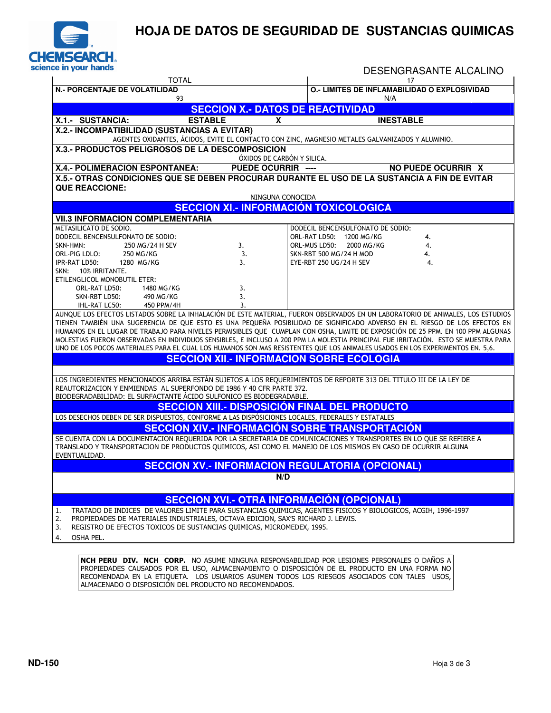

### **HOJA DE DATOS DE SEGURIDAD DE SUSTANCIAS QUIMICAS**

|                                                                                                                                                                                                                                                                                                                                                                       |                                                  | 17                                                                                               | DESENGRASANTE ALCALINO |
|-----------------------------------------------------------------------------------------------------------------------------------------------------------------------------------------------------------------------------------------------------------------------------------------------------------------------------------------------------------------------|--------------------------------------------------|--------------------------------------------------------------------------------------------------|------------------------|
| <b>TOTAL</b><br><b>N.- PORCENTAJE DE VOLATILIDAD</b><br>93                                                                                                                                                                                                                                                                                                            |                                                  | O.- LIMITES DE INFLAMABILIDAD O EXPLOSIVIDAD<br>N/A                                              |                        |
|                                                                                                                                                                                                                                                                                                                                                                       | <b>SECCION X.- DATOS DE REACTIVIDAD</b>          |                                                                                                  |                        |
| X.1.- SUSTANCIA:                                                                                                                                                                                                                                                                                                                                                      | <b>ESTABLE</b><br>X                              | <b>INESTABLE</b>                                                                                 |                        |
| X.2.- INCOMPATIBILIDAD (SUSTANCIAS A EVITAR)                                                                                                                                                                                                                                                                                                                          |                                                  |                                                                                                  |                        |
|                                                                                                                                                                                                                                                                                                                                                                       |                                                  | AGENTES OXIDANTES, ÁCIDOS, EVITE EL CONTACTO CON ZINC, MAGNESIO METALES GALVANIZADOS Y ALUMINIO. |                        |
| X.3.- PRODUCTOS PELIGROSOS DE LA DESCOMPOSICION                                                                                                                                                                                                                                                                                                                       | ÓXIDOS DE CARBÓN Y SILICA.                       |                                                                                                  |                        |
| <b>X.4.- POLIMERACION ESPONTANEA:</b>                                                                                                                                                                                                                                                                                                                                 | <b>PUEDE OCURRIR ----</b>                        |                                                                                                  | NO PUEDE OCURRIR X     |
| X.5.- OTRAS CONDICIONES QUE SE DEBEN PROCURAR DURANTE EL USO DE LA SUSTANCIA A FIN DE EVITAR                                                                                                                                                                                                                                                                          |                                                  |                                                                                                  |                        |
| <b>QUE REACCIONE:</b>                                                                                                                                                                                                                                                                                                                                                 |                                                  |                                                                                                  |                        |
|                                                                                                                                                                                                                                                                                                                                                                       | NINGUNA CONOCIDA                                 |                                                                                                  |                        |
|                                                                                                                                                                                                                                                                                                                                                                       | <b>SECCION XI.- INFORMACIÓN TOXICOLOGICA</b>     |                                                                                                  |                        |
| <b>VII.3 INFORMACION COMPLEMENTARIA</b><br>METASILICATO DE SODIO.                                                                                                                                                                                                                                                                                                     |                                                  | DODECIL BENCENSULFONATO DE SODIO:                                                                |                        |
| DODECIL BENCENSULFONATO DE SODIO:                                                                                                                                                                                                                                                                                                                                     |                                                  | ORL-RAT LD50: 1200 MG/KG                                                                         | 4.                     |
| SKN-HMN:<br>250 MG/24 H SEV                                                                                                                                                                                                                                                                                                                                           | 3.                                               | ORL-MUS LD50: 2000 MG/KG                                                                         | 4.                     |
| ORL-PIG LDLO:<br>250 MG/KG                                                                                                                                                                                                                                                                                                                                            | 3.                                               | <b>SKN-RBT 500 MG/24 H MOD</b>                                                                   | 4.                     |
| IPR-RAT LD50:<br>1280 MG/KG<br>SKN: 10% IRRITANTE.                                                                                                                                                                                                                                                                                                                    | 3.                                               | EYE-RBT 250 UG/24 H SEV                                                                          | 4.                     |
| ETILENGLICOL MONOBUTIL ETER:                                                                                                                                                                                                                                                                                                                                          |                                                  |                                                                                                  |                        |
| ORL-RAT LD50:<br>1480 MG/KG                                                                                                                                                                                                                                                                                                                                           | 3.                                               |                                                                                                  |                        |
| SKN-RBT LD50:<br>490 MG/KG                                                                                                                                                                                                                                                                                                                                            | 3.                                               |                                                                                                  |                        |
| 450 PPM/4H<br>IHL-RAT LC50:<br>AUNQUE LOS EFECTOS LISTADOS SOBRE LA INHALACIÓN DE ESTE MATERIAL, FUERON OBSERVADOS EN UN LABORATORIO DE ANIMALES, LOS ESTUDIOS                                                                                                                                                                                                        | 3.                                               |                                                                                                  |                        |
| TIENEN TAMBIÉN UNA SUGERENCIA DE QUE ESTO ES UNA PEQUEÑA POSIBILIDAD DE SIGNIFICADO ADVERSO EN EL RIESGO DE LOS EFECTOS EN                                                                                                                                                                                                                                            |                                                  |                                                                                                  |                        |
| HUMANOS EN EL LUGAR DE TRABAJO PARA NIVELES PERMISIBLES QUE CUMPLAN CON OSHA, LIMITE DE EXPOSICIÓN DE 25 PPM. EN 100 PPM ALGUNAS                                                                                                                                                                                                                                      |                                                  |                                                                                                  |                        |
| MOLESTIAS FUERON OBSERVADAS EN INDIVIDUOS SENSIBLES, E INCLUSO A 200 PPM LA MOLESTIA PRINCIPAL FUE IRRITACIÓN. ESTO SE MUESTRA PARA                                                                                                                                                                                                                                   |                                                  |                                                                                                  |                        |
| UNO DE LOS POCOS MATERIALES PARA EL CUAL LOS HUMANOS SON MAS RESISTENTES QUE LOS ANIMALES USADOS EN LOS EXPERIMENTOS EN. 5,6.                                                                                                                                                                                                                                         |                                                  |                                                                                                  |                        |
|                                                                                                                                                                                                                                                                                                                                                                       |                                                  |                                                                                                  |                        |
|                                                                                                                                                                                                                                                                                                                                                                       | <b>SECCION XII.- INFORMACION SOBRE ECOLOGIA</b>  |                                                                                                  |                        |
|                                                                                                                                                                                                                                                                                                                                                                       |                                                  |                                                                                                  |                        |
|                                                                                                                                                                                                                                                                                                                                                                       |                                                  |                                                                                                  |                        |
|                                                                                                                                                                                                                                                                                                                                                                       |                                                  |                                                                                                  |                        |
|                                                                                                                                                                                                                                                                                                                                                                       |                                                  | <b>SECCION XIII.- DISPOSICIÓN FINAL DEL PRODUCTO</b>                                             |                        |
|                                                                                                                                                                                                                                                                                                                                                                       |                                                  |                                                                                                  |                        |
| LOS INGREDIENTES MENCIONADOS ARRIBA ESTÁN SUJETOS A LOS REQUERIMIENTOS DE REPORTE 313 DEL TITULO III DE LA LEY DE<br>REAUTORIZACION Y ENMIENDAS AL SUPERFONDO DE 1986 Y 40 CFR PARTE 372.<br>BIODEGRADABILIDAD: EL SURFACTANTE ÁCIDO SULFONICO ES BIODEGRADABLE.<br>LOS DESECHOS DEBEN DE SER DISPUESTOS, CONFORME A LAS DISPÓSICIONES LOCALES, FEDERALES Y ESTATALES |                                                  | <b>SECCION XIV.- INFORMACIÓN SOBRE TRANSPORTACIÓN</b>                                            |                        |
| SE CUENTA CON LA DOCUMENTACION REQUERIDA POR LA SECRETARIA DE COMUNICACIONES Y TRANSPORTES EN LO QUE SE REFIERE A                                                                                                                                                                                                                                                     |                                                  |                                                                                                  |                        |
| TRANSLADO Y TRANSPORTACION DE PRODUCTOS QUIMICOS, ASI COMO EL MANEJO DE LOS MISMOS EN CASO DE OCURRIR ALGUNA                                                                                                                                                                                                                                                          |                                                  |                                                                                                  |                        |
| EVENTUALIDAD.                                                                                                                                                                                                                                                                                                                                                         |                                                  |                                                                                                  |                        |
|                                                                                                                                                                                                                                                                                                                                                                       |                                                  | <b>SECCION XV.- INFORMACION REGULATORIA (OPCIONAL)</b>                                           |                        |
|                                                                                                                                                                                                                                                                                                                                                                       | N/D                                              |                                                                                                  |                        |
|                                                                                                                                                                                                                                                                                                                                                                       |                                                  |                                                                                                  |                        |
| TRATADO DE INDICES DE VALORES LIMITE PARA SUSTANCIAS QUIMICAS, AGENTES FISICOS Y BIOLOGICOS, ACGIH, 1996-1997<br>1.                                                                                                                                                                                                                                                   | <b>SECCION XVI.- OTRA INFORMACIÓN (OPCIONAL)</b> |                                                                                                  |                        |
| PROPIEDADES DE MATERIALES INDUSTRIALES, OCTAVA EDICION, SAX'S RICHARD J. LEWIS.                                                                                                                                                                                                                                                                                       |                                                  |                                                                                                  |                        |
| 2.<br>REGISTRO DE EFECTOS TOXICOS DE SUSTANCIAS QUIMICAS, MICROMEDEX, 1995.<br>3.<br>OSHA PEL.<br>4.                                                                                                                                                                                                                                                                  |                                                  |                                                                                                  |                        |

RECOMENDADA EN LA ETIQUETA. LOS USUARIOS ASUMEN TODOS LOS RIESGOS ASOCIADOS CON TALES USOS,

ALMACENADO O DISPOSICIÓN DEL PRODUCTO NO RECOMENDADOS.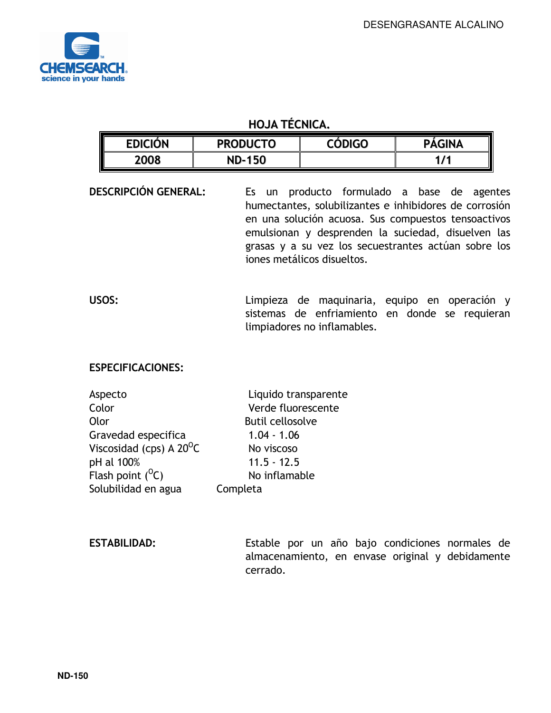

#### HOJA TÉCNICA.

| <b>EDICIÓN</b> | <b>PRODUCTO</b> | <b>CÓDIGO</b> | <b>PÁGINA</b> |
|----------------|-----------------|---------------|---------------|
| 2008           | ND-150          |               | 4 I I         |

DESCRIPCIÓN GENERAL: Es un producto formulado a base de agentes humectantes, solubilizantes e inhibidores de corrosión en una solución acuosa. Sus compuestos tensoactivos emulsionan y desprenden la suciedad, disuelven las grasas y a su vez los secuestrantes actúan sobre los iones metálicos disueltos.

USOS: Limpieza de maquinaria, equipo en operación y sistemas de enfriamiento en donde se requieran limpiadores no inflamables.

#### ESPECIFICACIONES:

| Aspecto                           | Liquido transparente    |
|-----------------------------------|-------------------------|
| Color                             | Verde fluorescente      |
| Olor                              | <b>Butil cellosolve</b> |
| Gravedad especifica               | $1.04 - 1.06$           |
| Viscosidad (cps) A $20^{\circ}$ C | No viscoso              |
| pH al 100%                        | $11.5 - 12.5$           |
| Flash point $(^0C)$               | No inflamable           |
| Solubilidad en agua               | Completa                |

ESTABILIDAD: Estable por un año bajo condiciones normales de almacenamiento, en envase original y debidamente cerrado.